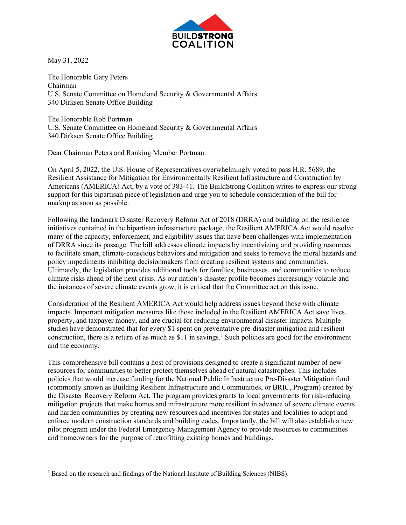

May 31, 2022

The Honorable Gary Peters Chairman U.S. Senate Committee on Homeland Security & Governmental Affairs 340 Dirksen Senate Office Building

The Honorable Rob Portman U.S. Senate Committee on Homeland Security & Governmental Affairs 340 Dirksen Senate Office Building

Dear Chairman Peters and Ranking Member Portman:

On April 5, 2022, the U.S. House of Representatives overwhelmingly voted to pass H.R. 5689, the Resilient Assistance for Mitigation for Environmentally Resilient Infrastructure and Construction by Americans (AMERICA) Act, by a vote of 383-41. The BuildStrong Coalition writes to express our strong support for this bipartisan piece of legislation and urge you to schedule consideration of the bill for markup as soon as possible.

Following the landmark Disaster Recovery Reform Act of 2018 (DRRA) and building on the resilience initiatives contained in the bipartisan infrastructure package, the Resilient AMERICA Act would resolve many of the capacity, enforcement, and eligibility issues that have been challenges with implementation of DRRA since its passage. The bill addresses climate impacts by incentivizing and providing resources to facilitate smart, climate-conscious behaviors and mitigation and seeks to remove the moral hazards and policy impediments inhibiting decisionmakers from creating resilient systems and communities. Ultimately, the legislation provides additional tools for families, businesses, and communities to reduce climate risks ahead of the next crisis. As our nation's disaster profile becomes increasingly volatile and the instances of severe climate events grow, it is critical that the Committee act on this issue.

Consideration of the Resilient AMERICA Act would help address issues beyond those with climate impacts. Important mitigation measures like those included in the Resilient AMERICA Act save lives, property, and taxpayer money, and are crucial for reducing environmental disaster impacts. Multiple studies have demonstrated that for every \$1 spent on preventative pre-disaster mitigation and resilient construction, there is a return of as much as \$[1](#page-0-0)1 in savings.<sup>1</sup> Such policies are good for the environment and the economy.

This comprehensive bill contains a host of provisions designed to create a significant number of new resources for communities to better protect themselves ahead of natural catastrophes. This includes policies that would increase funding for the National Public Infrastructure Pre-Disaster Mitigation fund (commonly known as Building Resilient Infrastructure and Communities, or BRIC, Program) created by the Disaster Recovery Reform Act. The program provides grants to local governments for risk-reducing mitigation projects that make homes and infrastructure more resilient in advance of severe climate events and harden communities by creating new resources and incentives for states and localities to adopt and enforce modern construction standards and building codes. Importantly, the bill will also establish a new pilot program under the Federal Emergency Management Agency to provide resources to communities and homeowners for the purpose of retrofitting existing homes and buildings.

<span id="page-0-0"></span><sup>&</sup>lt;sup>1</sup> Based on the research and findings of the National Institute of Building Sciences (NIBS).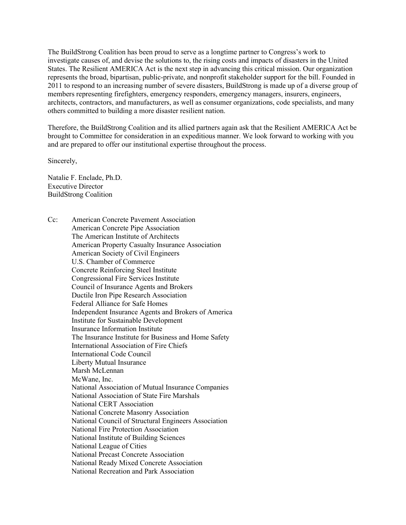The BuildStrong Coalition has been proud to serve as a longtime partner to Congress's work to investigate causes of, and devise the solutions to, the rising costs and impacts of disasters in the United States. The Resilient AMERICA Act is the next step in advancing this critical mission. Our organization represents the broad, bipartisan, public-private, and nonprofit stakeholder support for the bill. Founded in 2011 to respond to an increasing number of severe disasters, BuildStrong is made up of a diverse group of members representing firefighters, emergency responders, emergency managers, insurers, engineers, architects, contractors, and manufacturers, as well as consumer organizations, code specialists, and many others committed to building a more disaster resilient nation.

Therefore, the BuildStrong Coalition and its allied partners again ask that the Resilient AMERICA Act be brought to Committee for consideration in an expeditious manner. We look forward to working with you and are prepared to offer our institutional expertise throughout the process.

Sincerely,

Natalie F. Enclade, Ph.D. Executive Director BuildStrong Coalition

Cc: American Concrete Pavement Association American Concrete Pipe Association The American Institute of Architects American Property Casualty Insurance Association American Society of Civil Engineers U.S. Chamber of Commerce Concrete Reinforcing Steel Institute Congressional Fire Services Institute Council of Insurance Agents and Brokers Ductile Iron Pipe Research Association Federal Alliance for Safe Homes Independent Insurance Agents and Brokers of America Institute for Sustainable Development Insurance Information Institute The Insurance Institute for Business and Home Safety International Association of Fire Chiefs International Code Council Liberty Mutual Insurance Marsh McLennan McWane, Inc. National Association of Mutual Insurance Companies National Association of State Fire Marshals National CERT Association National Concrete Masonry Association National Council of Structural Engineers Association National Fire Protection Association National Institute of Building Sciences National League of Cities National Precast Concrete Association National Ready Mixed Concrete Association National Recreation and Park Association